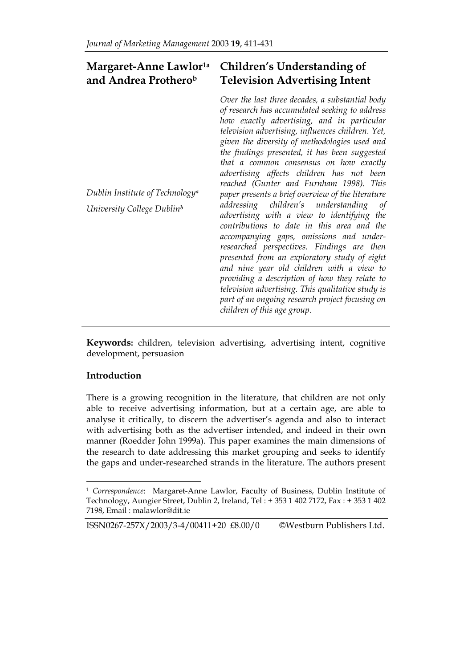#### **Margaret-Anne Lawlor1a and Andrea Protherob Children's Understanding of Television Advertising Intent**

| Dublin Institute of Technology <sup>a</sup><br>University College Dublin <sup>b</sup> | Over the last three decades, a substantial body<br>of research has accumulated seeking to address<br>how exactly advertising, and in particular<br>television advertising, influences children. Yet,<br>given the diversity of methodologies used and<br>the findings presented, it has been suggested<br>that a common consensus on how exactly<br>advertising affects children has not been<br>reached (Gunter and Furnham 1998). This<br>paper presents a brief overview of the literature<br>addressing children's understanding of<br>advertising with a view to identifying the<br>contributions to date in this area and the<br>accompanying gaps, omissions and under-<br>researched perspectives. Findings are then<br>presented from an exploratory study of eight<br>and nine year old children with a view to<br>providing a description of how they relate to<br>television advertising. This qualitative study is<br>part of an ongoing research project focusing on<br>children of this age group. |
|---------------------------------------------------------------------------------------|-------------------------------------------------------------------------------------------------------------------------------------------------------------------------------------------------------------------------------------------------------------------------------------------------------------------------------------------------------------------------------------------------------------------------------------------------------------------------------------------------------------------------------------------------------------------------------------------------------------------------------------------------------------------------------------------------------------------------------------------------------------------------------------------------------------------------------------------------------------------------------------------------------------------------------------------------------------------------------------------------------------------|
|                                                                                       |                                                                                                                                                                                                                                                                                                                                                                                                                                                                                                                                                                                                                                                                                                                                                                                                                                                                                                                                                                                                                   |

**Keywords:** children, television advertising, advertising intent, cognitive development, persuasion

# **Introduction**

l

There is a growing recognition in the literature, that children are not only able to receive advertising information, but at a certain age, are able to analyse it critically, to discern the advertiser's agenda and also to interact with advertising both as the advertiser intended, and indeed in their own manner (Roedder John 1999a). This paper examines the main dimensions of the research to date addressing this market grouping and seeks to identify the gaps and under-researched strands in the literature. The authors present

# ISSN0267-257X/2003/3-4/00411+20 £8.00/0 ©Westburn Publishers Ltd.

<sup>1</sup> *Correspondence*: Margaret-Anne Lawlor, Faculty of Business, Dublin Institute of Technology, Aungier Street, Dublin 2, Ireland, Tel : + 353 1 402 7172, Fax : + 353 1 402 7198, Email : malawlor@dit.ie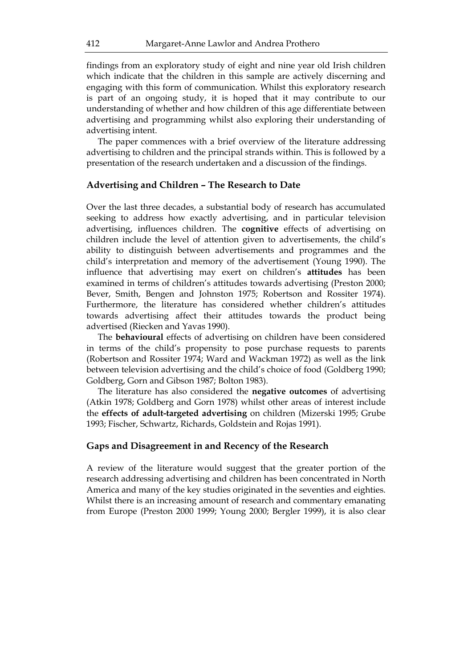findings from an exploratory study of eight and nine year old Irish children which indicate that the children in this sample are actively discerning and engaging with this form of communication. Whilst this exploratory research is part of an ongoing study, it is hoped that it may contribute to our understanding of whether and how children of this age differentiate between advertising and programming whilst also exploring their understanding of advertising intent.

The paper commences with a brief overview of the literature addressing advertising to children and the principal strands within. This is followed by a presentation of the research undertaken and a discussion of the findings.

## **Advertising and Children – The Research to Date**

Over the last three decades, a substantial body of research has accumulated seeking to address how exactly advertising, and in particular television advertising, influences children. The **cognitive** effects of advertising on children include the level of attention given to advertisements, the child's ability to distinguish between advertisements and programmes and the child's interpretation and memory of the advertisement (Young 1990). The influence that advertising may exert on children's **attitudes** has been examined in terms of children's attitudes towards advertising (Preston 2000; Bever, Smith, Bengen and Johnston 1975; Robertson and Rossiter 1974). Furthermore, the literature has considered whether children's attitudes towards advertising affect their attitudes towards the product being advertised (Riecken and Yavas 1990).

The **behavioural** effects of advertising on children have been considered in terms of the child's propensity to pose purchase requests to parents (Robertson and Rossiter 1974; Ward and Wackman 1972) as well as the link between television advertising and the child's choice of food (Goldberg 1990; Goldberg, Gorn and Gibson 1987; Bolton 1983).

The literature has also considered the **negative outcomes** of advertising (Atkin 1978; Goldberg and Gorn 1978) whilst other areas of interest include the **effects of adult-targeted advertising** on children (Mizerski 1995; Grube 1993; Fischer, Schwartz, Richards, Goldstein and Rojas 1991).

# **Gaps and Disagreement in and Recency of the Research**

A review of the literature would suggest that the greater portion of the research addressing advertising and children has been concentrated in North America and many of the key studies originated in the seventies and eighties. Whilst there is an increasing amount of research and commentary emanating from Europe (Preston 2000 1999; Young 2000; Bergler 1999), it is also clear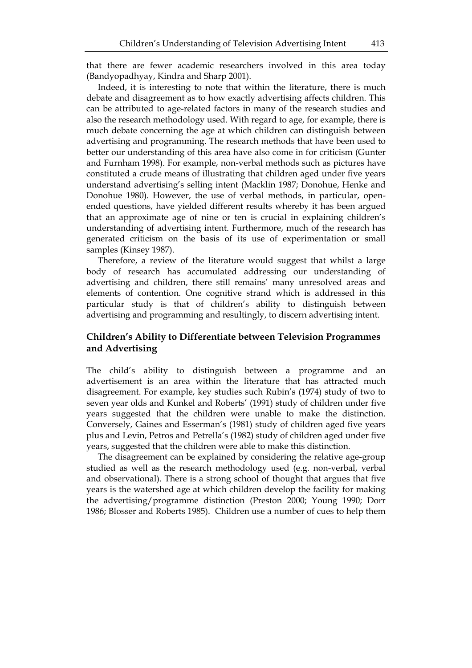that there are fewer academic researchers involved in this area today (Bandyopadhyay, Kindra and Sharp 2001).

Indeed, it is interesting to note that within the literature, there is much debate and disagreement as to how exactly advertising affects children. This can be attributed to age-related factors in many of the research studies and also the research methodology used. With regard to age, for example, there is much debate concerning the age at which children can distinguish between advertising and programming. The research methods that have been used to better our understanding of this area have also come in for criticism (Gunter and Furnham 1998). For example, non-verbal methods such as pictures have constituted a crude means of illustrating that children aged under five years understand advertising's selling intent (Macklin 1987; Donohue, Henke and Donohue 1980). However, the use of verbal methods, in particular, openended questions, have yielded different results whereby it has been argued that an approximate age of nine or ten is crucial in explaining children's understanding of advertising intent. Furthermore, much of the research has generated criticism on the basis of its use of experimentation or small samples (Kinsey 1987).

Therefore, a review of the literature would suggest that whilst a large body of research has accumulated addressing our understanding of advertising and children, there still remains' many unresolved areas and elements of contention. One cognitive strand which is addressed in this particular study is that of children's ability to distinguish between advertising and programming and resultingly, to discern advertising intent.

# **Children's Ability to Differentiate between Television Programmes and Advertising**

The child's ability to distinguish between a programme and an advertisement is an area within the literature that has attracted much disagreement. For example, key studies such Rubin's (1974) study of two to seven year olds and Kunkel and Roberts' (1991) study of children under five years suggested that the children were unable to make the distinction. Conversely, Gaines and Esserman's (1981) study of children aged five years plus and Levin, Petros and Petrella's (1982) study of children aged under five years, suggested that the children were able to make this distinction.

The disagreement can be explained by considering the relative age-group studied as well as the research methodology used (e.g. non-verbal, verbal and observational). There is a strong school of thought that argues that five years is the watershed age at which children develop the facility for making the advertising/programme distinction (Preston 2000; Young 1990; Dorr 1986; Blosser and Roberts 1985). Children use a number of cues to help them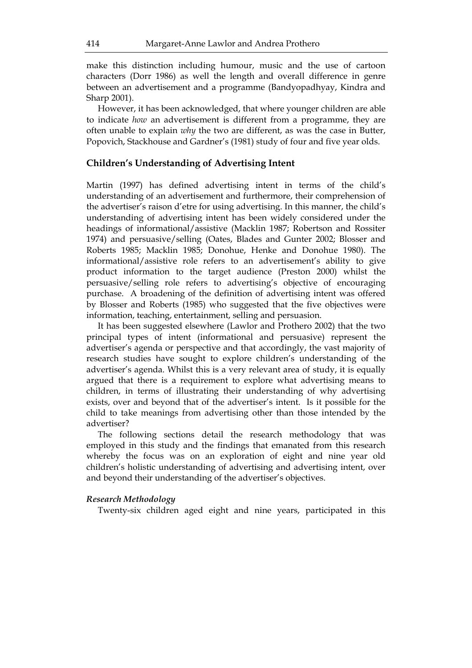make this distinction including humour, music and the use of cartoon characters (Dorr 1986) as well the length and overall difference in genre between an advertisement and a programme (Bandyopadhyay, Kindra and Sharp 2001).

However, it has been acknowledged, that where younger children are able to indicate *how* an advertisement is different from a programme, they are often unable to explain *why* the two are different, as was the case in Butter, Popovich, Stackhouse and Gardner's (1981) study of four and five year olds.

# **Children's Understanding of Advertising Intent**

Martin (1997) has defined advertising intent in terms of the child's understanding of an advertisement and furthermore, their comprehension of the advertiser's raison d'etre for using advertising. In this manner, the child's understanding of advertising intent has been widely considered under the headings of informational/assistive (Macklin 1987; Robertson and Rossiter 1974) and persuasive/selling (Oates, Blades and Gunter 2002; Blosser and Roberts 1985; Macklin 1985; Donohue, Henke and Donohue 1980). The informational/assistive role refers to an advertisement's ability to give product information to the target audience (Preston 2000) whilst the persuasive/selling role refers to advertising's objective of encouraging purchase. A broadening of the definition of advertising intent was offered by Blosser and Roberts (1985) who suggested that the five objectives were information, teaching, entertainment, selling and persuasion.

It has been suggested elsewhere (Lawlor and Prothero 2002) that the two principal types of intent (informational and persuasive) represent the advertiser's agenda or perspective and that accordingly, the vast majority of research studies have sought to explore children's understanding of the advertiser's agenda. Whilst this is a very relevant area of study, it is equally argued that there is a requirement to explore what advertising means to children, in terms of illustrating their understanding of why advertising exists, over and beyond that of the advertiser's intent. Is it possible for the child to take meanings from advertising other than those intended by the advertiser?

The following sections detail the research methodology that was employed in this study and the findings that emanated from this research whereby the focus was on an exploration of eight and nine year old children's holistic understanding of advertising and advertising intent, over and beyond their understanding of the advertiser's objectives.

## *Research Methodology*

Twenty-six children aged eight and nine years, participated in this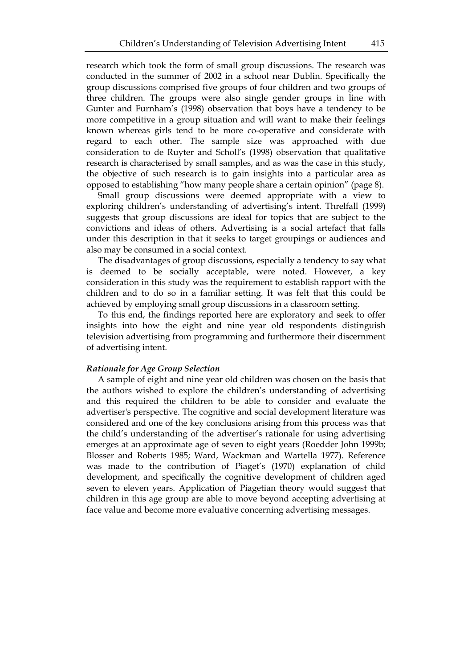research which took the form of small group discussions. The research was conducted in the summer of 2002 in a school near Dublin. Specifically the group discussions comprised five groups of four children and two groups of three children. The groups were also single gender groups in line with Gunter and Furnham's (1998) observation that boys have a tendency to be more competitive in a group situation and will want to make their feelings known whereas girls tend to be more co-operative and considerate with regard to each other. The sample size was approached with due consideration to de Ruyter and Scholl's (1998) observation that qualitative research is characterised by small samples, and as was the case in this study, the objective of such research is to gain insights into a particular area as opposed to establishing "how many people share a certain opinion" (page 8).

Small group discussions were deemed appropriate with a view to exploring children's understanding of advertising's intent. Threlfall (1999) suggests that group discussions are ideal for topics that are subject to the convictions and ideas of others. Advertising is a social artefact that falls under this description in that it seeks to target groupings or audiences and also may be consumed in a social context.

The disadvantages of group discussions, especially a tendency to say what is deemed to be socially acceptable, were noted. However, a key consideration in this study was the requirement to establish rapport with the children and to do so in a familiar setting. It was felt that this could be achieved by employing small group discussions in a classroom setting.

To this end, the findings reported here are exploratory and seek to offer insights into how the eight and nine year old respondents distinguish television advertising from programming and furthermore their discernment of advertising intent.

## *Rationale for Age Group Selection*

A sample of eight and nine year old children was chosen on the basis that the authors wished to explore the children's understanding of advertising and this required the children to be able to consider and evaluate the advertiser's perspective. The cognitive and social development literature was considered and one of the key conclusions arising from this process was that the child's understanding of the advertiser's rationale for using advertising emerges at an approximate age of seven to eight years (Roedder John 1999b; Blosser and Roberts 1985; Ward, Wackman and Wartella 1977). Reference was made to the contribution of Piaget's (1970) explanation of child development, and specifically the cognitive development of children aged seven to eleven years. Application of Piagetian theory would suggest that children in this age group are able to move beyond accepting advertising at face value and become more evaluative concerning advertising messages.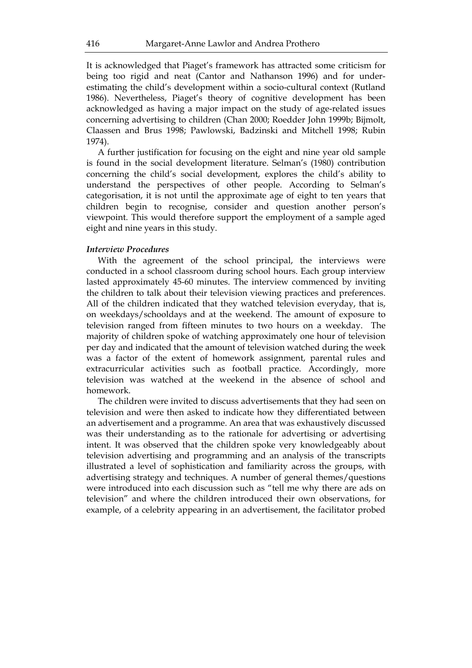It is acknowledged that Piaget's framework has attracted some criticism for being too rigid and neat (Cantor and Nathanson 1996) and for underestimating the child's development within a socio-cultural context (Rutland 1986). Nevertheless, Piaget's theory of cognitive development has been acknowledged as having a major impact on the study of age-related issues concerning advertising to children (Chan 2000; Roedder John 1999b; Bijmolt, Claassen and Brus 1998; Pawlowski, Badzinski and Mitchell 1998; Rubin 1974).

A further justification for focusing on the eight and nine year old sample is found in the social development literature. Selman's (1980) contribution concerning the child's social development, explores the child's ability to understand the perspectives of other people. According to Selman's categorisation, it is not until the approximate age of eight to ten years that children begin to recognise, consider and question another person's viewpoint. This would therefore support the employment of a sample aged eight and nine years in this study.

## *Interview Procedures*

With the agreement of the school principal, the interviews were conducted in a school classroom during school hours. Each group interview lasted approximately 45-60 minutes. The interview commenced by inviting the children to talk about their television viewing practices and preferences. All of the children indicated that they watched television everyday, that is, on weekdays/schooldays and at the weekend. The amount of exposure to television ranged from fifteen minutes to two hours on a weekday. The majority of children spoke of watching approximately one hour of television per day and indicated that the amount of television watched during the week was a factor of the extent of homework assignment, parental rules and extracurricular activities such as football practice. Accordingly, more television was watched at the weekend in the absence of school and homework.

The children were invited to discuss advertisements that they had seen on television and were then asked to indicate how they differentiated between an advertisement and a programme. An area that was exhaustively discussed was their understanding as to the rationale for advertising or advertising intent. It was observed that the children spoke very knowledgeably about television advertising and programming and an analysis of the transcripts illustrated a level of sophistication and familiarity across the groups, with advertising strategy and techniques. A number of general themes/questions were introduced into each discussion such as "tell me why there are ads on television" and where the children introduced their own observations, for example, of a celebrity appearing in an advertisement, the facilitator probed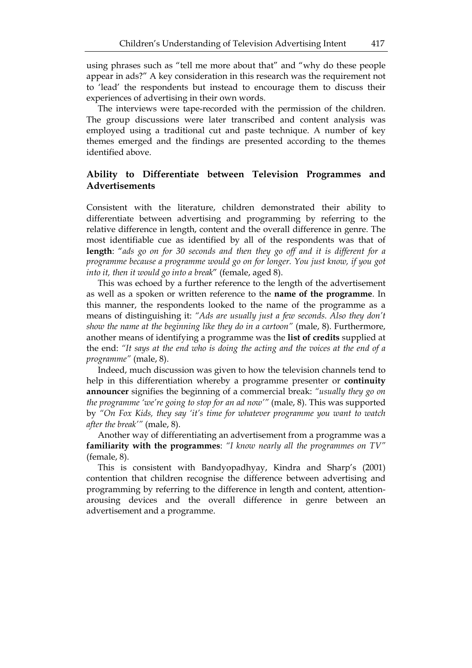using phrases such as "tell me more about that" and "why do these people appear in ads?" A key consideration in this research was the requirement not to 'lead' the respondents but instead to encourage them to discuss their experiences of advertising in their own words.

The interviews were tape-recorded with the permission of the children. The group discussions were later transcribed and content analysis was employed using a traditional cut and paste technique. A number of key themes emerged and the findings are presented according to the themes identified above.

# **Ability to Differentiate between Television Programmes and Advertisements**

Consistent with the literature, children demonstrated their ability to differentiate between advertising and programming by referring to the relative difference in length, content and the overall difference in genre. The most identifiable cue as identified by all of the respondents was that of **length**: "*ads go on for 30 seconds and then they go off and it is different for a programme because a programme would go on for longer. You just know, if you got into it, then it would go into a break*" (female, aged 8).

This was echoed by a further reference to the length of the advertisement as well as a spoken or written reference to the **name of the programme**. In this manner, the respondents looked to the name of the programme as a means of distinguishing it: *"Ads are usually just a few seconds. Also they don't show the name at the beginning like they do in a cartoon"* (male, 8). Furthermore, another means of identifying a programme was the **list of credits** supplied at the end: *"It says at the end who is doing the acting and the voices at the end of a programme"* (male, 8).

Indeed, much discussion was given to how the television channels tend to help in this differentiation whereby a programme presenter or **continuity announcer** signifies the beginning of a commercial break: *"usually they go on the programme 'we're going to stop for an ad now'"* (male, 8). This was supported by *"On Fox Kids, they say 'it's time for whatever programme you want to watch after the break'"* (male, 8).

Another way of differentiating an advertisement from a programme was a **familiarity with the programmes**: *"I know nearly all the programmes on TV"*  (female, 8).

This is consistent with Bandyopadhyay, Kindra and Sharp's (2001) contention that children recognise the difference between advertising and programming by referring to the difference in length and content, attentionarousing devices and the overall difference in genre between an advertisement and a programme.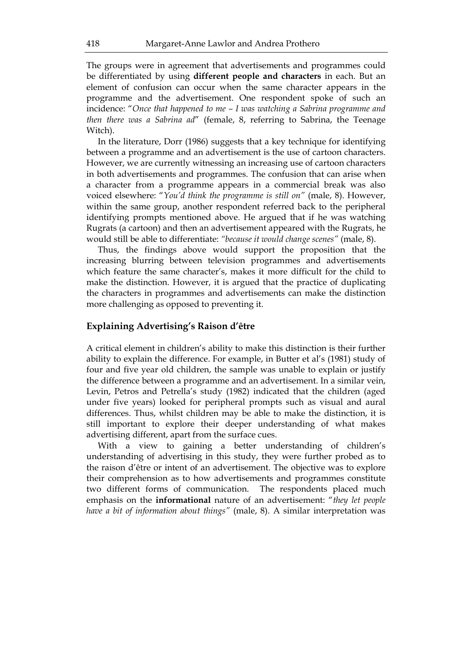The groups were in agreement that advertisements and programmes could be differentiated by using **different people and characters** in each. But an element of confusion can occur when the same character appears in the programme and the advertisement. One respondent spoke of such an incidence: "*Once that happened to me – I was watching a Sabrina programme and then there was a Sabrina ad*" (female, 8, referring to Sabrina, the Teenage Witch).

In the literature, Dorr (1986) suggests that a key technique for identifying between a programme and an advertisement is the use of cartoon characters. However, we are currently witnessing an increasing use of cartoon characters in both advertisements and programmes. The confusion that can arise when a character from a programme appears in a commercial break was also voiced elsewhere: "*You'd think the programme is still on"* (male, 8). However, within the same group, another respondent referred back to the peripheral identifying prompts mentioned above. He argued that if he was watching Rugrats (a cartoon) and then an advertisement appeared with the Rugrats, he would still be able to differentiate: *"because it would change scenes"* (male, 8).

Thus, the findings above would support the proposition that the increasing blurring between television programmes and advertisements which feature the same character's, makes it more difficult for the child to make the distinction. However, it is argued that the practice of duplicating the characters in programmes and advertisements can make the distinction more challenging as opposed to preventing it.

# **Explaining Advertising's Raison d'être**

A critical element in children's ability to make this distinction is their further ability to explain the difference. For example, in Butter et al's (1981) study of four and five year old children, the sample was unable to explain or justify the difference between a programme and an advertisement. In a similar vein, Levin, Petros and Petrella's study (1982) indicated that the children (aged under five years) looked for peripheral prompts such as visual and aural differences. Thus, whilst children may be able to make the distinction, it is still important to explore their deeper understanding of what makes advertising different, apart from the surface cues.

With a view to gaining a better understanding of children's understanding of advertising in this study, they were further probed as to the raison d'être or intent of an advertisement. The objective was to explore their comprehension as to how advertisements and programmes constitute two different forms of communication. The respondents placed much emphasis on the **informational** nature of an advertisement: "*they let people have a bit of information about things"* (male, 8). A similar interpretation was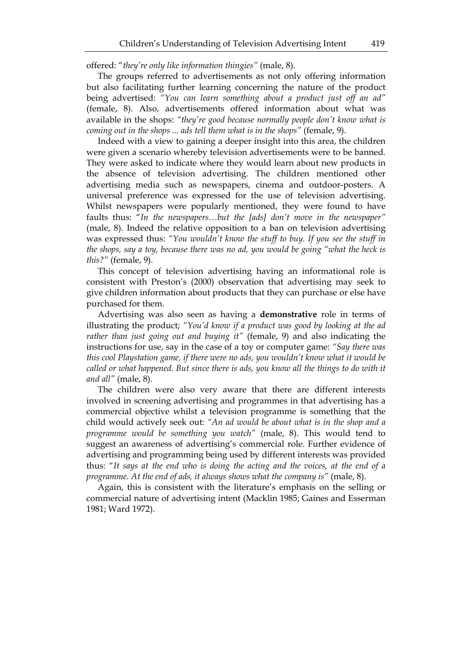offered: "*they're only like information thingies"* (male, 8).

The groups referred to advertisements as not only offering information but also facilitating further learning concerning the nature of the product being advertised: *"You can learn something about a product just off an ad"*  (female, 8). Also, advertisements offered information about what was available in the shops: *"they're good because normally people don't know what is coming out in the shops ... ads tell them what is in the shops"* (female, 9).

Indeed with a view to gaining a deeper insight into this area, the children were given a scenario whereby television advertisements were to be banned. They were asked to indicate where they would learn about new products in the absence of television advertising. The children mentioned other advertising media such as newspapers, cinema and outdoor-posters. A universal preference was expressed for the use of television advertising. Whilst newspapers were popularly mentioned, they were found to have faults thus: "*In the newspapers…but the [ads] don't move in the newspaper"*  (male, 8). Indeed the relative opposition to a ban on television advertising was expressed thus: *"You wouldn't know the stuff to buy. If you see the stuff in the shops, say a toy, because there was no ad, you would be going "what the heck is this?"* (female, 9).

This concept of television advertising having an informational role is consistent with Preston's (2000) observation that advertising may seek to give children information about products that they can purchase or else have purchased for them.

Advertising was also seen as having a **demonstrative** role in terms of illustrating the product; *"You'd know if a product was good by looking at the ad rather than just going out and buying it"* (female, 9) and also indicating the instructions for use, say in the case of a toy or computer game: *"Say there was this cool Playstation game, if there were no ads, you wouldn't know what it would be*  called or what happened. But since there is ads, you know all the things to do with it *and all"* (male, 8).

The children were also very aware that there are different interests involved in screening advertising and programmes in that advertising has a commercial objective whilst a television programme is something that the child would actively seek out: *"An ad would be about what is in the shop and a programme would be something you watch"* (male, 8). This would tend to suggest an awareness of advertising's commercial role. Further evidence of advertising and programming being used by different interests was provided thus: "*It says at the end who is doing the acting and the voices, at the end of a programme. At the end of ads, it always shows what the company is"* (male, 8).

Again, this is consistent with the literature's emphasis on the selling or commercial nature of advertising intent (Macklin 1985; Gaines and Esserman 1981; Ward 1972).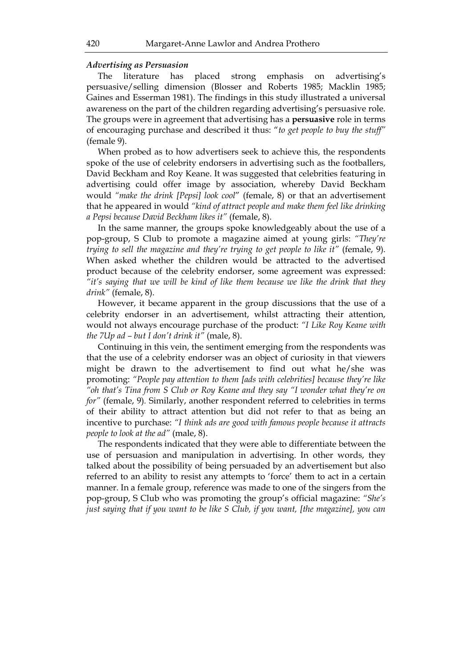## *Advertising as Persuasion*

The literature has placed strong emphasis on advertising's persuasive/selling dimension (Blosser and Roberts 1985; Macklin 1985; Gaines and Esserman 1981). The findings in this study illustrated a universal awareness on the part of the children regarding advertising's persuasive role. The groups were in agreement that advertising has a **persuasive** role in terms of encouraging purchase and described it thus: "*to get people to buy the stuff"*  (female 9).

When probed as to how advertisers seek to achieve this, the respondents spoke of the use of celebrity endorsers in advertising such as the footballers, David Beckham and Roy Keane. It was suggested that celebrities featuring in advertising could offer image by association, whereby David Beckham would *"make the drink [Pepsi] look cool*" (female, 8) or that an advertisement that he appeared in would *"kind of attract people and make them feel like drinking a Pepsi because David Beckham likes it"* (female, 8).

In the same manner, the groups spoke knowledgeably about the use of a pop-group, S Club to promote a magazine aimed at young girls: *"They're trying to sell the magazine and they're trying to get people to like it"* (female, 9). When asked whether the children would be attracted to the advertised product because of the celebrity endorser, some agreement was expressed: *"it's saying that we will be kind of like them because we like the drink that they drink"* (female, 8).

However, it became apparent in the group discussions that the use of a celebrity endorser in an advertisement, whilst attracting their attention, would not always encourage purchase of the product: *"I Like Roy Keane with the 7Up ad – but I don't drink it"* (male, 8).

Continuing in this vein, the sentiment emerging from the respondents was that the use of a celebrity endorser was an object of curiosity in that viewers might be drawn to the advertisement to find out what he/she was promoting: *"People pay attention to them [ads with celebrities] because they're like "oh that's Tina from S Club or Roy Keane and they say "I wonder what they're on for"* (female, 9)*.* Similarly, another respondent referred to celebrities in terms of their ability to attract attention but did not refer to that as being an incentive to purchase: *"I think ads are good with famous people because it attracts people to look at the ad"* (male, 8).

The respondents indicated that they were able to differentiate between the use of persuasion and manipulation in advertising. In other words, they talked about the possibility of being persuaded by an advertisement but also referred to an ability to resist any attempts to 'force' them to act in a certain manner. In a female group, reference was made to one of the singers from the pop-group, S Club who was promoting the group's official magazine: *"She's just saying that if you want to be like S Club, if you want, [the magazine], you can*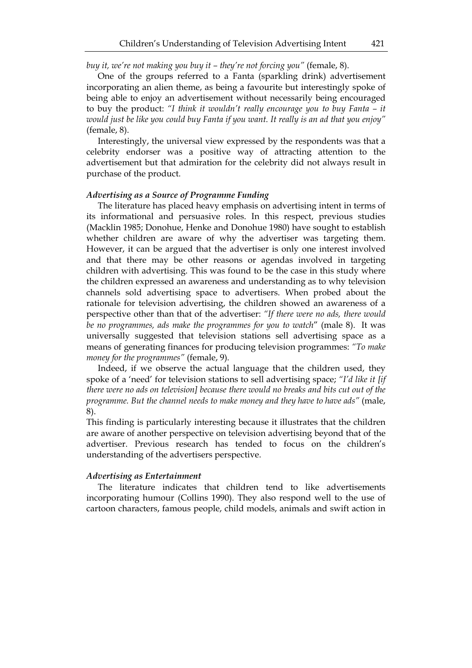*buy it, we're not making you buy it – they're not forcing you"* (female, 8).

One of the groups referred to a Fanta (sparkling drink) advertisement incorporating an alien theme, as being a favourite but interestingly spoke of being able to enjoy an advertisement without necessarily being encouraged to buy the product: *"I think it wouldn't really encourage you to buy Fanta – it would just be like you could buy Fanta if you want. It really is an ad that you enjoy"*  (female, 8).

Interestingly, the universal view expressed by the respondents was that a celebrity endorser was a positive way of attracting attention to the advertisement but that admiration for the celebrity did not always result in purchase of the product.

## *Advertising as a Source of Programme Funding*

The literature has placed heavy emphasis on advertising intent in terms of its informational and persuasive roles. In this respect, previous studies (Macklin 1985; Donohue, Henke and Donohue 1980) have sought to establish whether children are aware of why the advertiser was targeting them. However, it can be argued that the advertiser is only one interest involved and that there may be other reasons or agendas involved in targeting children with advertising. This was found to be the case in this study where the children expressed an awareness and understanding as to why television channels sold advertising space to advertisers. When probed about the rationale for television advertising, the children showed an awareness of a perspective other than that of the advertiser: *"If there were no ads, there would be no programmes, ads make the programmes for you to watch*" (male 8). It was universally suggested that television stations sell advertising space as a means of generating finances for producing television programmes: *"To make money for the programmes"* (female, 9).

Indeed, if we observe the actual language that the children used, they spoke of a 'need' for television stations to sell advertising space; *"I'd like it [if there were no ads on television] because there would no breaks and bits cut out of the programme. But the channel needs to make money and they have to have ads"* (male, 8).

This finding is particularly interesting because it illustrates that the children are aware of another perspective on television advertising beyond that of the advertiser. Previous research has tended to focus on the children's understanding of the advertisers perspective.

## *Advertising as Entertainment*

The literature indicates that children tend to like advertisements incorporating humour (Collins 1990). They also respond well to the use of cartoon characters, famous people, child models, animals and swift action in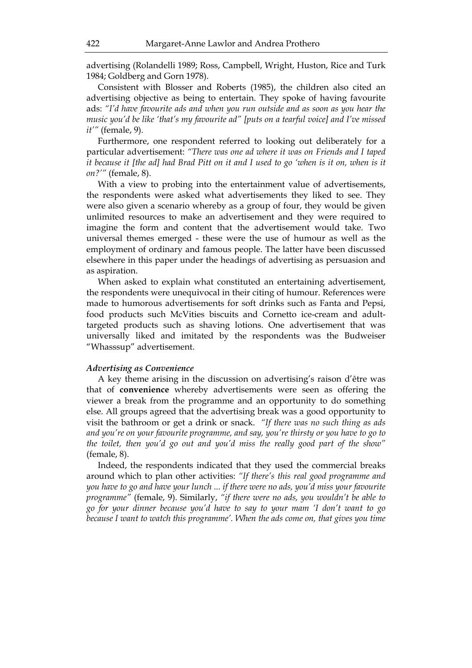advertising (Rolandelli 1989; Ross, Campbell, Wright, Huston, Rice and Turk 1984; Goldberg and Gorn 1978).

Consistent with Blosser and Roberts (1985), the children also cited an advertising objective as being to entertain. They spoke of having favourite ads: *"I'd have favourite ads and when you run outside and as soon as you hear the music you'd be like 'that's my favourite ad" [puts on a tearful voice] and I've missed it'"* (female, 9).

Furthermore, one respondent referred to looking out deliberately for a particular advertisement: *"There was one ad where it was on Friends and I taped it because it [the ad] had Brad Pitt on it and I used to go 'when is it on, when is it on?'"* (female, 8).

With a view to probing into the entertainment value of advertisements, the respondents were asked what advertisements they liked to see. They were also given a scenario whereby as a group of four, they would be given unlimited resources to make an advertisement and they were required to imagine the form and content that the advertisement would take. Two universal themes emerged - these were the use of humour as well as the employment of ordinary and famous people. The latter have been discussed elsewhere in this paper under the headings of advertising as persuasion and as aspiration.

When asked to explain what constituted an entertaining advertisement, the respondents were unequivocal in their citing of humour. References were made to humorous advertisements for soft drinks such as Fanta and Pepsi, food products such McVities biscuits and Cornetto ice-cream and adulttargeted products such as shaving lotions. One advertisement that was universally liked and imitated by the respondents was the Budweiser "Whasssup" advertisement.

## *Advertising as Convenience*

A key theme arising in the discussion on advertising's raison d'être was that of **convenience** whereby advertisements were seen as offering the viewer a break from the programme and an opportunity to do something else. All groups agreed that the advertising break was a good opportunity to visit the bathroom or get a drink or snack. *"If there was no such thing as ads and you're on your favourite programme, and say, you're thirsty or you have to go to the toilet, then you'd go out and you'd miss the really good part of the show"* (female, 8).

Indeed, the respondents indicated that they used the commercial breaks around which to plan other activities: *"If there's this real good programme and you have to go and have your lunch ... if there were no ads, you'd miss your favourite programme"* (female, 9). Similarly, *"if there were no ads, you wouldn't be able to go for your dinner because you'd have to say to your mam 'I don't want to go because I want to watch this programme'. When the ads come on, that gives you time*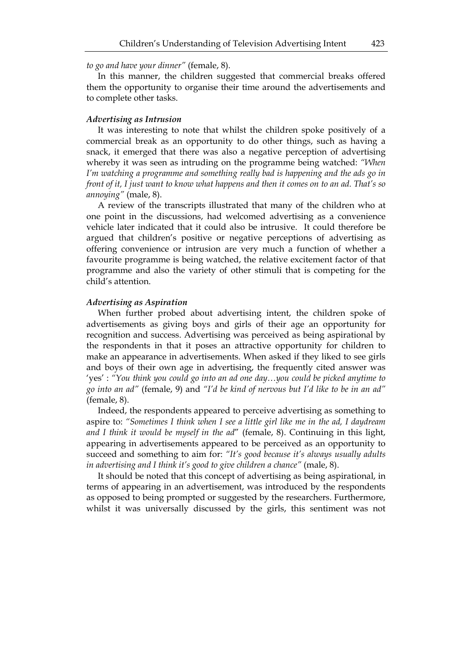*to go and have your dinner"* (female, 8).

In this manner, the children suggested that commercial breaks offered them the opportunity to organise their time around the advertisements and to complete other tasks.

## *Advertising as Intrusion*

It was interesting to note that whilst the children spoke positively of a commercial break as an opportunity to do other things, such as having a snack, it emerged that there was also a negative perception of advertising whereby it was seen as intruding on the programme being watched: *"When I'm watching a programme and something really bad is happening and the ads go in front of it, I just want to know what happens and then it comes on to an ad. That's so annoying"* (male, 8).

A review of the transcripts illustrated that many of the children who at one point in the discussions, had welcomed advertising as a convenience vehicle later indicated that it could also be intrusive. It could therefore be argued that children's positive or negative perceptions of advertising as offering convenience or intrusion are very much a function of whether a favourite programme is being watched, the relative excitement factor of that programme and also the variety of other stimuli that is competing for the child's attention.

#### *Advertising as Aspiration*

When further probed about advertising intent, the children spoke of advertisements as giving boys and girls of their age an opportunity for recognition and success. Advertising was perceived as being aspirational by the respondents in that it poses an attractive opportunity for children to make an appearance in advertisements. When asked if they liked to see girls and boys of their own age in advertising, the frequently cited answer was 'yes' : *"You think you could go into an ad one day…you could be picked anytime to go into an ad"* (female, 9) and *"I'd be kind of nervous but I'd like to be in an ad"*  (female, 8).

Indeed, the respondents appeared to perceive advertising as something to aspire to: *"Sometimes I think when I see a little girl like me in the ad, I daydream and I think it would be myself in the ad*" (female, 8). Continuing in this light, appearing in advertisements appeared to be perceived as an opportunity to succeed and something to aim for: *"It's good because it's always usually adults in advertising and I think it's good to give children a chance"* (male, 8).

It should be noted that this concept of advertising as being aspirational, in terms of appearing in an advertisement, was introduced by the respondents as opposed to being prompted or suggested by the researchers. Furthermore, whilst it was universally discussed by the girls, this sentiment was not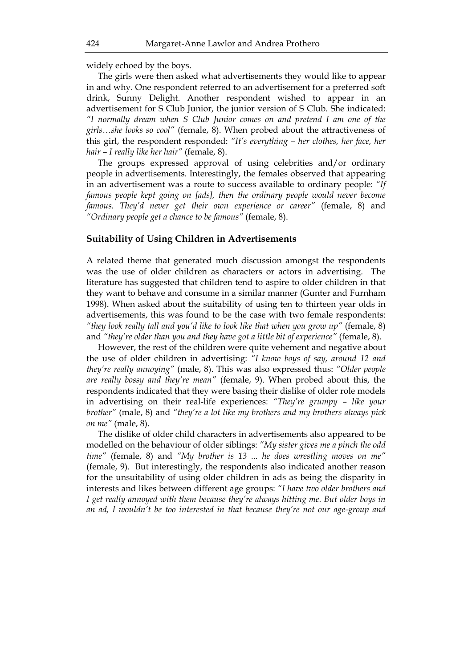widely echoed by the boys.

The girls were then asked what advertisements they would like to appear in and why. One respondent referred to an advertisement for a preferred soft drink, Sunny Delight. Another respondent wished to appear in an advertisement for S Club Junior, the junior version of S Club. She indicated: *"I normally dream when S Club Junior comes on and pretend I am one of the girls…she looks so cool"* (female, 8). When probed about the attractiveness of this girl, the respondent responded: *"It's everything – her clothes, her face, her hair – I really like her hair"* (female, 8).

The groups expressed approval of using celebrities and/or ordinary people in advertisements. Interestingly, the females observed that appearing in an advertisement was a route to success available to ordinary people: *"If famous people kept going on [ads], then the ordinary people would never become famous. They'd never get their own experience or career"* (female, 8) and *"Ordinary people get a chance to be famous"* (female, 8).

# **Suitability of Using Children in Advertisements**

A related theme that generated much discussion amongst the respondents was the use of older children as characters or actors in advertising. The literature has suggested that children tend to aspire to older children in that they want to behave and consume in a similar manner (Gunter and Furnham 1998). When asked about the suitability of using ten to thirteen year olds in advertisements, this was found to be the case with two female respondents: *"they look really tall and you'd like to look like that when you grow up"* (female, 8) and *"they're older than you and they have got a little bit of experience"* (female, 8).

However, the rest of the children were quite vehement and negative about the use of older children in advertising: *"I know boys of say, around 12 and they're really annoying"* (male, 8). This was also expressed thus: *"Older people are really bossy and they're mean"* (female, 9). When probed about this, the respondents indicated that they were basing their dislike of older role models in advertising on their real-life experiences: *"They're grumpy – like your brother"* (male, 8) and *"they're a lot like my brothers and my brothers always pick on me"* (male, 8).

The dislike of older child characters in advertisements also appeared to be modelled on the behaviour of older siblings: *"My sister gives me a pinch the odd time"* (female, 8) and *"My brother is 13 ... he does wrestling moves on me"* (female, 9). But interestingly, the respondents also indicated another reason for the unsuitability of using older children in ads as being the disparity in interests and likes between different age groups: *"I have two older brothers and I get really annoyed with them because they're always hitting me. But older boys in an ad, I wouldn't be too interested in that because they're not our age-group and*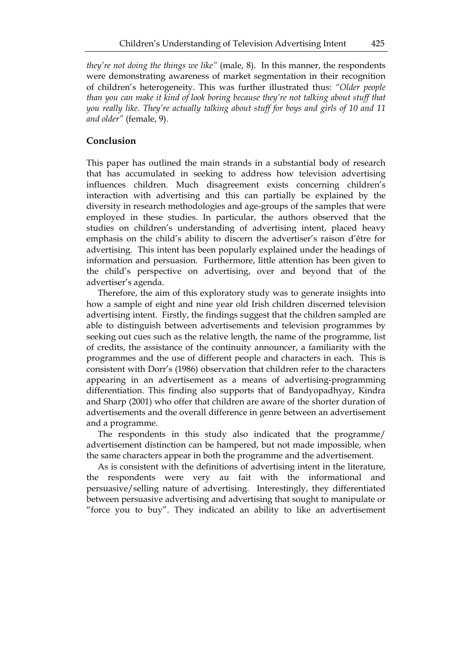*they're not doing the things we like"* (male, 8). In this manner, the respondents were demonstrating awareness of market segmentation in their recognition of children's heterogeneity. This was further illustrated thus: *"Older people than you can make it kind of look boring because they're not talking about stuff that you really like. They're actually talking about stuff for boys and girls of 10 and 11 and older"* (female, 9).

# **Conclusion**

This paper has outlined the main strands in a substantial body of research that has accumulated in seeking to address how television advertising influences children. Much disagreement exists concerning children's interaction with advertising and this can partially be explained by the diversity in research methodologies and age-groups of the samples that were employed in these studies. In particular, the authors observed that the studies on children's understanding of advertising intent, placed heavy emphasis on the child's ability to discern the advertiser's raison d'être for advertising. This intent has been popularly explained under the headings of information and persuasion. Furthermore, little attention has been given to the child's perspective on advertising, over and beyond that of the advertiser's agenda.

Therefore, the aim of this exploratory study was to generate insights into how a sample of eight and nine year old Irish children discerned television advertising intent. Firstly, the findings suggest that the children sampled are able to distinguish between advertisements and television programmes by seeking out cues such as the relative length, the name of the programme, list of credits, the assistance of the continuity announcer, a familiarity with the programmes and the use of different people and characters in each. This is consistent with Dorr's (1986) observation that children refer to the characters appearing in an advertisement as a means of advertising-programming differentiation. This finding also supports that of Bandyopadhyay, Kindra and Sharp (2001) who offer that children are aware of the shorter duration of advertisements and the overall difference in genre between an advertisement and a programme.

The respondents in this study also indicated that the programme/ advertisement distinction can be hampered, but not made impossible, when the same characters appear in both the programme and the advertisement.

As is consistent with the definitions of advertising intent in the literature, the respondents were very au fait with the informational and persuasive/selling nature of advertising. Interestingly, they differentiated between persuasive advertising and advertising that sought to manipulate or "force you to buy". They indicated an ability to like an advertisement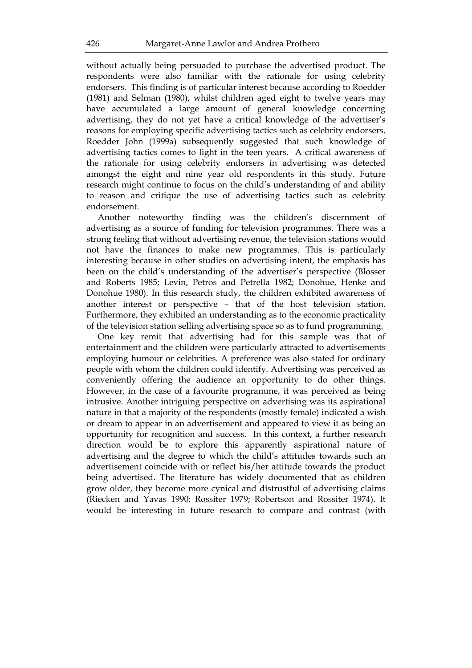without actually being persuaded to purchase the advertised product. The respondents were also familiar with the rationale for using celebrity endorsers. This finding is of particular interest because according to Roedder (1981) and Selman (1980), whilst children aged eight to twelve years may have accumulated a large amount of general knowledge concerning advertising, they do not yet have a critical knowledge of the advertiser's reasons for employing specific advertising tactics such as celebrity endorsers. Roedder John (1999a) subsequently suggested that such knowledge of advertising tactics comes to light in the teen years. A critical awareness of the rationale for using celebrity endorsers in advertising was detected amongst the eight and nine year old respondents in this study. Future research might continue to focus on the child's understanding of and ability to reason and critique the use of advertising tactics such as celebrity endorsement.

Another noteworthy finding was the children's discernment of advertising as a source of funding for television programmes. There was a strong feeling that without advertising revenue, the television stations would not have the finances to make new programmes. This is particularly interesting because in other studies on advertising intent, the emphasis has been on the child's understanding of the advertiser's perspective (Blosser and Roberts 1985; Levin, Petros and Petrella 1982; Donohue, Henke and Donohue 1980). In this research study, the children exhibited awareness of another interest or perspective – that of the host television station. Furthermore, they exhibited an understanding as to the economic practicality of the television station selling advertising space so as to fund programming.

One key remit that advertising had for this sample was that of entertainment and the children were particularly attracted to advertisements employing humour or celebrities. A preference was also stated for ordinary people with whom the children could identify. Advertising was perceived as conveniently offering the audience an opportunity to do other things. However, in the case of a favourite programme, it was perceived as being intrusive. Another intriguing perspective on advertising was its aspirational nature in that a majority of the respondents (mostly female) indicated a wish or dream to appear in an advertisement and appeared to view it as being an opportunity for recognition and success. In this context, a further research direction would be to explore this apparently aspirational nature of advertising and the degree to which the child's attitudes towards such an advertisement coincide with or reflect his/her attitude towards the product being advertised. The literature has widely documented that as children grow older, they become more cynical and distrustful of advertising claims (Riecken and Yavas 1990; Rossiter 1979; Robertson and Rossiter 1974). It would be interesting in future research to compare and contrast (with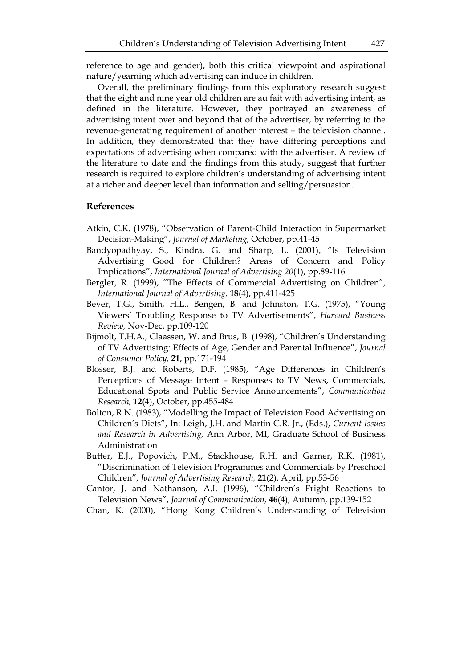reference to age and gender), both this critical viewpoint and aspirational nature/yearning which advertising can induce in children.

Overall, the preliminary findings from this exploratory research suggest that the eight and nine year old children are au fait with advertising intent, as defined in the literature. However, they portrayed an awareness of advertising intent over and beyond that of the advertiser, by referring to the revenue-generating requirement of another interest – the television channel. In addition, they demonstrated that they have differing perceptions and expectations of advertising when compared with the advertiser. A review of the literature to date and the findings from this study, suggest that further research is required to explore children's understanding of advertising intent at a richer and deeper level than information and selling/persuasion.

# **References**

- Atkin, C.K. (1978), "Observation of Parent-Child Interaction in Supermarket Decision-Making", *Journal of Marketing,* October, pp.41-45
- Bandyopadhyay, S., Kindra, G. and Sharp, L. (2001), "Is Television Advertising Good for Children? Areas of Concern and Policy Implications", *International Journal of Advertising 20*(1), pp.89-116
- Bergler, R. (1999), "The Effects of Commercial Advertising on Children", *International Journal of Advertising,* **18**(4), pp.411-425
- Bever, T.G., Smith, H.L., Bengen, B. and Johnston, T.G. (1975), "Young Viewers' Troubling Response to TV Advertisements", *Harvard Business Review,* Nov-Dec, pp.109-120
- Bijmolt, T.H.A., Claassen, W. and Brus, B. (1998), "Children's Understanding of TV Advertising: Effects of Age, Gender and Parental Influence", *Journal of Consumer Policy,* **21**, pp.171-194
- Blosser, B.J. and Roberts, D.F. (1985), "Age Differences in Children's Perceptions of Message Intent – Responses to TV News, Commercials, Educational Spots and Public Service Announcements", *Communication Research,* **12**(4), October, pp.455-484
- Bolton, R.N. (1983), "Modelling the Impact of Television Food Advertising on Children's Diets", In: Leigh, J.H. and Martin C.R. Jr., (Eds.), *Current Issues and Research in Advertising,* Ann Arbor, MI, Graduate School of Business Administration
- Butter, E.J., Popovich, P.M., Stackhouse, R.H. and Garner, R.K. (1981), "Discrimination of Television Programmes and Commercials by Preschool Children", *Journal of Advertising Research,* **21**(2), April, pp.53-56
- Cantor, J. and Nathanson, A.I. (1996), "Children's Fright Reactions to Television News", *Journal of Communication,* **46**(4), Autumn, pp.139-152
- Chan, K. (2000), "Hong Kong Children's Understanding of Television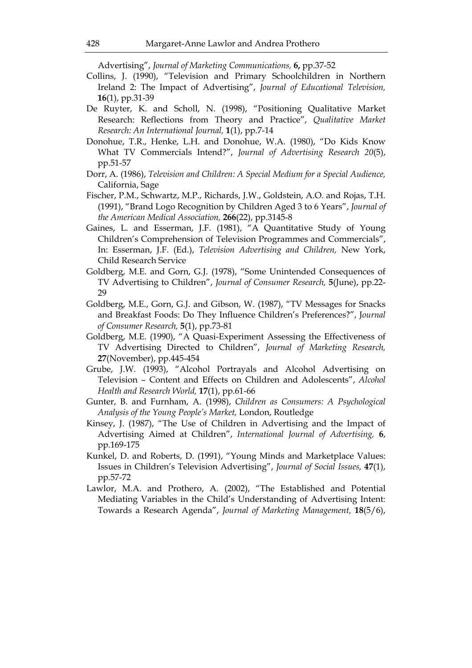Advertising", *Journal of Marketing Communications,* **6,** pp.37-52

- Collins, J. (1990), "Television and Primary Schoolchildren in Northern Ireland 2: The Impact of Advertising", *Journal of Educational Television,*  **16**(1), pp.31-39
- De Ruyter, K. and Scholl, N. (1998), "Positioning Qualitative Market Research: Reflections from Theory and Practice", *Qualitative Market Research: An International Journal,* **1**(1), pp.7-14
- Donohue, T.R., Henke, L.H. and Donohue, W.A. (1980), "Do Kids Know What TV Commercials Intend?", *Journal of Advertising Research 20*(5), pp.51-57
- Dorr, A. (1986), *Television and Children: A Special Medium for a Special Audience,*  California, Sage
- Fischer, P.M., Schwartz, M.P., Richards, J.W., Goldstein, A.O. and Rojas, T.H. (1991), "Brand Logo Recognition by Children Aged 3 to 6 Years", *Journal of the American Medical Association,* **266**(22), pp.3145-8
- Gaines, L. and Esserman, J.F. (1981), "A Quantitative Study of Young Children's Comprehension of Television Programmes and Commercials", In: Esserman, J.F. (Ed.), *Television Advertising and Children,* New York, Child Research Service
- Goldberg, M.E. and Gorn, G.J. (1978), "Some Unintended Consequences of TV Advertising to Children", *Journal of Consumer Research,* **5**(June), pp.22- 29
- Goldberg, M.E., Gorn, G.J. and Gibson, W. (1987), "TV Messages for Snacks and Breakfast Foods: Do They Influence Children's Preferences?", J*ournal of Consumer Research,* **5**(1), pp.73-81
- Goldberg, M.E. (1990), "A Quasi-Experiment Assessing the Effectiveness of TV Advertising Directed to Children", *Journal of Marketing Research,*  **27**(November), pp.445-454
- Grube, J.W. (1993), "Alcohol Portrayals and Alcohol Advertising on Television – Content and Effects on Children and Adolescents", *Alcohol Health and Research World,* **17**(1), pp.61-66
- Gunter, B. and Furnham, A. (1998), *Children as Consumers: A Psychological Analysis of the Young People's Market,* London, Routledge
- Kinsey, J. (1987), "The Use of Children in Advertising and the Impact of Advertising Aimed at Children", *International Journal of Advertising,* **6**, pp.169-175
- Kunkel, D. and Roberts, D. (1991), "Young Minds and Marketplace Values: Issues in Children's Television Advertising", *Journal of Social Issues,* **47**(1), pp.57-72
- Lawlor, M.A. and Prothero, A. (2002), "The Established and Potential Mediating Variables in the Child's Understanding of Advertising Intent: Towards a Research Agenda", *Journal of Marketing Management,* **18**(5/6),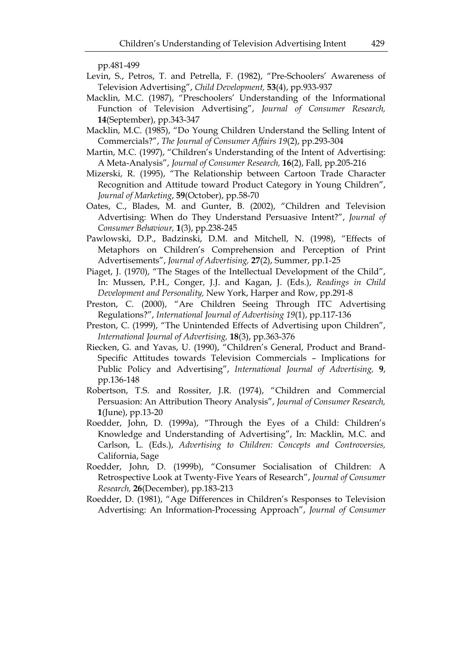pp.481-499

- Levin, S., Petros, T. and Petrella, F. (1982), "Pre-Schoolers' Awareness of Television Advertising", *Child Development,* **53**(4), pp.933-937
- Macklin, M.C. (1987), "Preschoolers' Understanding of the Informational Function of Television Advertising", *Journal of Consumer Research,*  **14**(September), pp.343-347
- Macklin, M.C. (1985), "Do Young Children Understand the Selling Intent of Commercials?", *The Journal of Consumer Affairs 19*(2), pp.293-304
- Martin, M.C. (1997), "Children's Understanding of the Intent of Advertising: A Meta-Analysis", *Journal of Consumer Research,* **16**(2), Fall, pp.205-216
- Mizerski, R. (1995), "The Relationship between Cartoon Trade Character Recognition and Attitude toward Product Category in Young Children", *Journal of Marketing*, **59**(October), pp.58-70
- Oates, C., Blades, M. and Gunter, B. (2002), "Children and Television Advertising: When do They Understand Persuasive Intent?", *Journal of Consumer Behaviour,* **1**(3), pp.238-245
- Pawlowski, D.P., Badzinski, D.M. and Mitchell, N. (1998), "Effects of Metaphors on Children's Comprehension and Perception of Print Advertisements", *Journal of Advertising,* **27**(2), Summer, pp.1-25
- Piaget, J. (1970), "The Stages of the Intellectual Development of the Child", In: Mussen, P.H., Conger, J.J. and Kagan, J. (Eds.), *Readings in Child Development and Personality,* New York, Harper and Row, pp.291-8
- Preston, C. (2000), "Are Children Seeing Through ITC Advertising Regulations?", *International Journal of Advertising 19*(1), pp.117-136
- Preston, C. (1999), "The Unintended Effects of Advertising upon Children", *International Journal of Advertising,* **18**(3), pp.363-376
- Riecken, G. and Yavas, U. (1990), "Children's General, Product and Brand-Specific Attitudes towards Television Commercials – Implications for Public Policy and Advertising", *International Journal of Advertising,* **9**, pp.136-148
- Robertson, T.S. and Rossiter, J.R. (1974), "Children and Commercial Persuasion: An Attribution Theory Analysis", *Journal of Consumer Research,*  **1**(June), pp.13-20
- Roedder, John, D. (1999a), "Through the Eyes of a Child: Children's Knowledge and Understanding of Advertising", In: Macklin, M.C. and Carlson, L. (Eds.), *Advertising to Children: Concepts and Controversies,*  California, Sage
- Roedder, John, D. (1999b), "Consumer Socialisation of Children: A Retrospective Look at Twenty-Five Years of Research", *Journal of Consumer Research,* **26**(December), pp.183-213
- Roedder, D. (1981), "Age Differences in Children's Responses to Television Advertising: An Information-Processing Approach", *Journal of Consumer*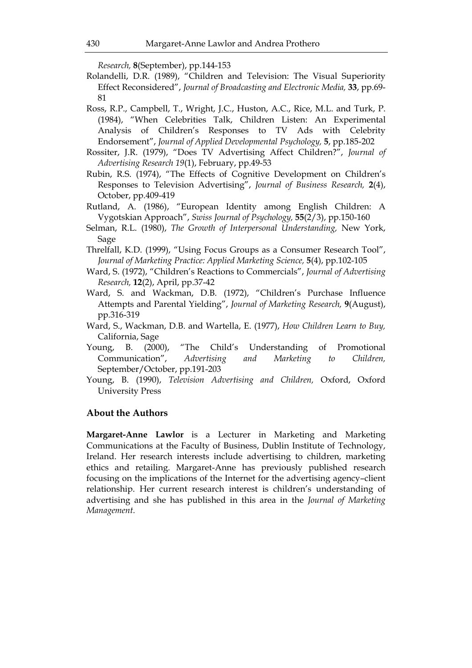*Research,* **8**(September), pp.144-153

- Rolandelli, D.R. (1989), "Children and Television: The Visual Superiority Effect Reconsidered", *Journal of Broadcasting and Electronic Media,* **33**, pp.69- 81
- Ross, R.P., Campbell, T., Wright, J.C., Huston, A.C., Rice, M.L. and Turk, P. (1984), "When Celebrities Talk, Children Listen: An Experimental Analysis of Children's Responses to TV Ads with Celebrity Endorsement", *Journal of Applied Developmental Psychology,* **5**, pp.185-202
- Rossiter, J.R. (1979), "Does TV Advertising Affect Children?", *Journal of Advertising Research 19*(1), February, pp.49-53
- Rubin, R.S. (1974), "The Effects of Cognitive Development on Children's Responses to Television Advertising", *Journal of Business Research,* **2**(4), October, pp.409-419
- Rutland, A. (1986), "European Identity among English Children: A Vygotskian Approach", *Swiss Journal of Psychology,* **55**(2/3), pp.150-160
- Selman, R.L. (1980), *The Growth of Interpersonal Understanding,* New York, Sage
- Threlfall, K.D. (1999), "Using Focus Groups as a Consumer Research Tool", *Journal of Marketing Practice: Applied Marketing Science,* **5**(4), pp.102-105
- Ward, S. (1972), "Children's Reactions to Commercials", *Journal of Advertising Research,* **12**(2), April, pp.37-42
- Ward, S. and Wackman, D.B. (1972), "Children's Purchase Influence Attempts and Parental Yielding", *Journal of Marketing Research,* **9**(August), pp.316-319
- Ward, S., Wackman, D.B. and Wartella, E. (1977), *How Children Learn to Buy,*  California, Sage
- Young, B. (2000), "The Child's Understanding of Promotional Communication", *Advertising and Marketing to Children,*  September/October, pp.191-203
- Young, B. (1990), *Television Advertising and Children,* Oxford, Oxford University Press

# **About the Authors**

**Margaret-Anne Lawlor** is a Lecturer in Marketing and Marketing Communications at the Faculty of Business, Dublin Institute of Technology, Ireland. Her research interests include advertising to children, marketing ethics and retailing. Margaret-Anne has previously published research focusing on the implications of the Internet for the advertising agency–client relationship. Her current research interest is children's understanding of advertising and she has published in this area in the *Journal of Marketing Management.*